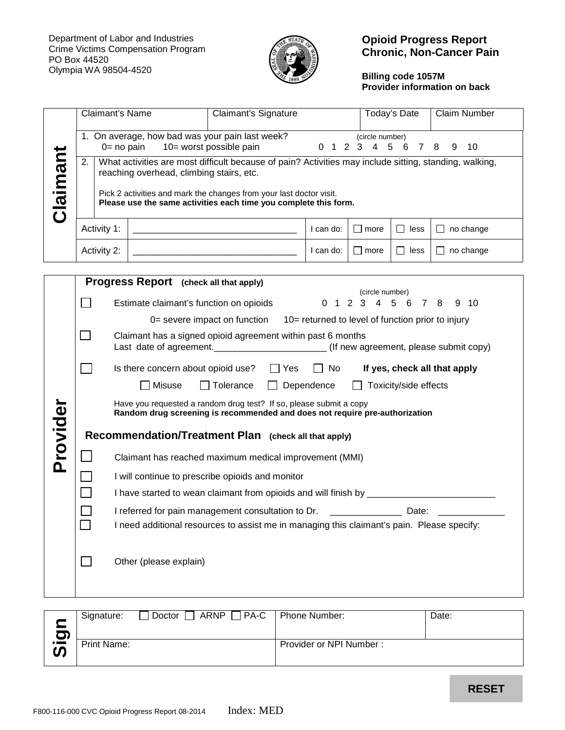

# **Opioid Progress Report Chronic, Non-Cancer Pain**

# **Billing code 1057M Provider information on back**

|          | Claimant's Name                                                                            |                                                                                                                                                                                                                                                                                               |                                               | Claimant's Signature                                                                                |           |                           | Today's Date   | Claim Number     |
|----------|--------------------------------------------------------------------------------------------|-----------------------------------------------------------------------------------------------------------------------------------------------------------------------------------------------------------------------------------------------------------------------------------------------|-----------------------------------------------|-----------------------------------------------------------------------------------------------------|-----------|---------------------------|----------------|------------------|
|          |                                                                                            | 1. On average, how bad was your pain last week?<br>(circle number)<br>10= worst possible pain<br>0 1 2 3 4<br>$5\phantom{.0}$<br>10<br>$0 = no$ pain<br>- 6<br>7<br>8<br>9                                                                                                                    |                                               |                                                                                                     |           |                           |                |                  |
| Claimant | 2.                                                                                         | What activities are most difficult because of pain? Activities may include sitting, standing, walking,<br>reaching overhead, climbing stairs, etc.<br>Pick 2 activities and mark the changes from your last doctor visit.<br>Please use the same activities each time you complete this form. |                                               |                                                                                                     |           |                           |                |                  |
|          | Activity 1:                                                                                |                                                                                                                                                                                                                                                                                               |                                               |                                                                                                     | I can do: | l more                    | $\Box$<br>less | $\Box$ no change |
|          | Activity 2:                                                                                |                                                                                                                                                                                                                                                                                               |                                               |                                                                                                     | I can do: | $\Box$ more               | $\Box$ less    | $\Box$ no change |
|          |                                                                                            |                                                                                                                                                                                                                                                                                               | <b>Progress Report</b> (check all that apply) |                                                                                                     |           |                           |                |                  |
|          | $\Box$<br>Estimate claimant's function on opioids                                          |                                                                                                                                                                                                                                                                                               |                                               | (circle number)<br>2 3<br>4 5<br>$9 \t10$<br>$\Omega$<br>$\overline{1}$<br>6<br>$\overline{7}$<br>8 |           |                           |                |                  |
|          |                                                                                            | 0= severe impact on function<br>10= returned to level of function prior to injury                                                                                                                                                                                                             |                                               |                                                                                                     |           |                           |                |                  |
|          | $\mathsf{L}$                                                                               | Claimant has a signed opioid agreement within past 6 months                                                                                                                                                                                                                                   |                                               |                                                                                                     |           |                           |                |                  |
|          | $\Box$ No<br>If yes, check all that apply<br>Is there concern about opioid use? $\Box$ Yes |                                                                                                                                                                                                                                                                                               |                                               |                                                                                                     |           |                           |                |                  |
|          |                                                                                            | $\Box$ Misuse<br>Dependence<br>Toxicity/side effects<br>$\Box$ Tolerance                                                                                                                                                                                                                      |                                               |                                                                                                     |           |                           |                |                  |
| Provider |                                                                                            | Have you requested a random drug test? If so, please submit a copy<br>Random drug screening is recommended and does not require pre-authorization                                                                                                                                             |                                               |                                                                                                     |           |                           |                |                  |
|          | Recommendation/Treatment Plan (check all that apply)                                       |                                                                                                                                                                                                                                                                                               |                                               |                                                                                                     |           |                           |                |                  |
|          |                                                                                            | Claimant has reached maximum medical improvement (MMI)                                                                                                                                                                                                                                        |                                               |                                                                                                     |           |                           |                |                  |
|          |                                                                                            | I will continue to prescribe opioids and monitor                                                                                                                                                                                                                                              |                                               |                                                                                                     |           |                           |                |                  |
|          |                                                                                            |                                                                                                                                                                                                                                                                                               |                                               |                                                                                                     |           |                           |                |                  |
|          |                                                                                            |                                                                                                                                                                                                                                                                                               |                                               | I referred for pain management consultation to Dr.                                                  |           | <b>Example 2018</b> Date: |                |                  |
|          | П                                                                                          | I need additional resources to assist me in managing this claimant's pain. Please specify:                                                                                                                                                                                                    |                                               |                                                                                                     |           |                           |                |                  |
|          |                                                                                            |                                                                                                                                                                                                                                                                                               | Other (please explain)                        |                                                                                                     |           |                           |                |                  |

| 9              | Signature:         | Doctor ARNP PA-C   Phone Number: |                         | Date: |
|----------------|--------------------|----------------------------------|-------------------------|-------|
| $\overline{5}$ | <b>Print Name:</b> |                                  | Provider or NPI Number: |       |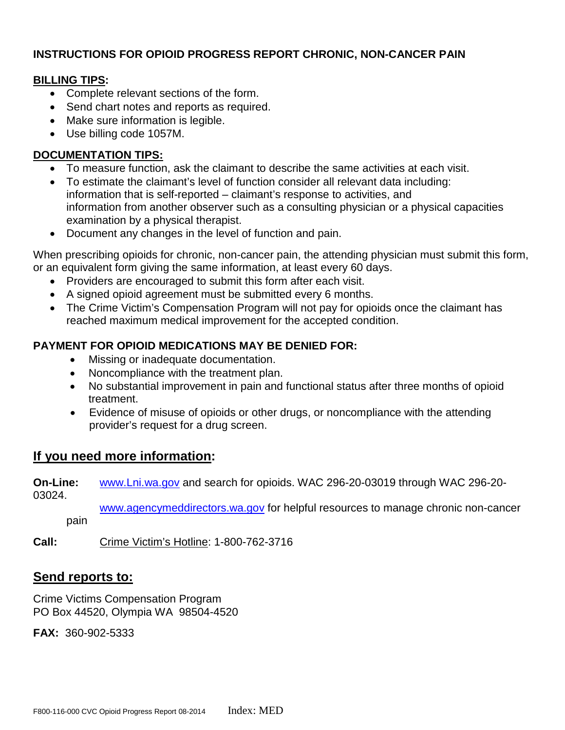# **INSTRUCTIONS FOR OPIOID PROGRESS REPORT CHRONIC, NON-CANCER PAIN**

### **BILLING TIPS:**

- Complete relevant sections of the form.
- Send chart notes and reports as required.
- Make sure information is legible.
- Use billing code 1057M.

# **DOCUMENTATION TIPS:**

- To measure function, ask the claimant to describe the same activities at each visit.
- To estimate the claimant's level of function consider all relevant data including: information that is self-reported – claimant's response to activities, and information from another observer such as a consulting physician or a physical capacities examination by a physical therapist.
- Document any changes in the level of function and pain.

When prescribing opioids for chronic, non-cancer pain, the attending physician must submit this form, or an equivalent form giving the same information, at least every 60 days.

- Providers are encouraged to submit this form after each visit.
- A signed opioid agreement must be submitted every 6 months.
- The Crime Victim's Compensation Program will not pay for opioids once the claimant has reached maximum medical improvement for the accepted condition.

# **PAYMENT FOR OPIOID MEDICATIONS MAY BE DENIED FOR:**

- Missing or inadequate documentation.
- Noncompliance with the treatment plan.
- No substantial improvement in pain and functional status after three months of opioid treatment.
- Evidence of misuse of opioids or other drugs, or noncompliance with the attending provider's request for a drug screen.

# **If you need more information:**

**On-Line:** [www.Lni.wa.gov](http://www.lni.wa.gov/) and search for opioids. WAC 296-20-03019 through WAC 296-20- 03024. [www.agencymeddirectors.wa.gov](http://www.agencymeddirectors.wa.gov/) for helpful resources to manage chronic non-cancer pain

**Call:** Crime Victim's Hotline: 1-800-762-3716

# **Send reports to:**

Crime Victims Compensation Program PO Box 44520, Olympia WA 98504-4520

**FAX:** 360-902-5333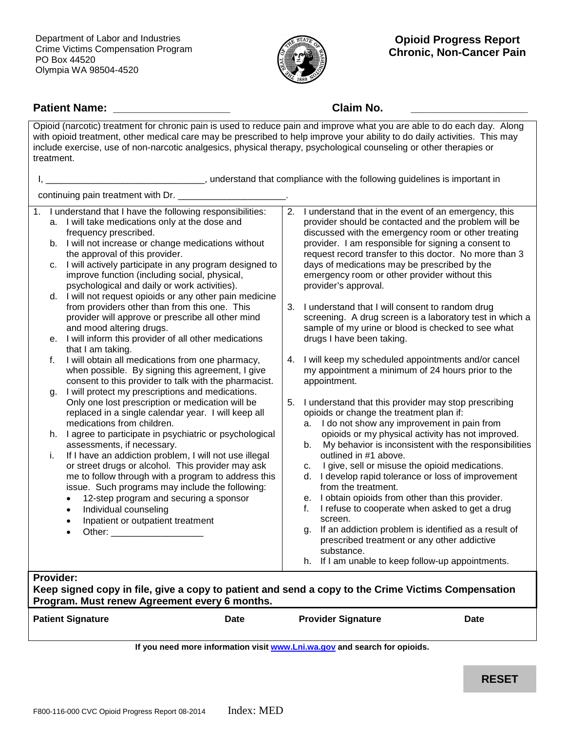Department of Labor and Industries Crime Victims Compensation Program PO Box 44520 Olympia WA 98504-4520



# **Patient Name: \_\_\_\_\_\_\_\_\_\_\_\_\_\_\_\_\_\_\_ Claim No. \_\_\_\_\_\_\_\_\_\_\_\_\_\_\_\_\_\_\_**

| Opioid (narcotic) treatment for chronic pain is used to reduce pain and improve what you are able to do each day. Along<br>with opioid treatment, other medical care may be prescribed to help improve your ability to do daily activities. This may<br>include exercise, use of non-narcotic analgesics, physical therapy, psychological counseling or other therapies or<br>treatment.                                                                                                                                                                  |                                                                                                                                                                                                                                                                                                                                                                                                                        |  |  |  |  |
|-----------------------------------------------------------------------------------------------------------------------------------------------------------------------------------------------------------------------------------------------------------------------------------------------------------------------------------------------------------------------------------------------------------------------------------------------------------------------------------------------------------------------------------------------------------|------------------------------------------------------------------------------------------------------------------------------------------------------------------------------------------------------------------------------------------------------------------------------------------------------------------------------------------------------------------------------------------------------------------------|--|--|--|--|
|                                                                                                                                                                                                                                                                                                                                                                                                                                                                                                                                                           |                                                                                                                                                                                                                                                                                                                                                                                                                        |  |  |  |  |
| continuing pain treatment with Dr. _______                                                                                                                                                                                                                                                                                                                                                                                                                                                                                                                |                                                                                                                                                                                                                                                                                                                                                                                                                        |  |  |  |  |
| I understand that I have the following responsibilities:<br>1.<br>a. I will take medications only at the dose and<br>frequency prescribed.<br>b. I will not increase or change medications without<br>the approval of this provider.<br>I will actively participate in any program designed to<br>C.<br>improve function (including social, physical,<br>psychological and daily or work activities).<br>d. I will not request opioids or any other pain medicine                                                                                         | 2. I understand that in the event of an emergency, this<br>provider should be contacted and the problem will be<br>discussed with the emergency room or other treating<br>provider. I am responsible for signing a consent to<br>request record transfer to this doctor. No more than 3<br>days of medications may be prescribed by the<br>emergency room or other provider without this<br>provider's approval.<br>3. |  |  |  |  |
| from providers other than from this one. This<br>provider will approve or prescribe all other mind<br>and mood altering drugs.<br>e. I will inform this provider of all other medications<br>that I am taking.                                                                                                                                                                                                                                                                                                                                            | I understand that I will consent to random drug<br>screening. A drug screen is a laboratory test in which a<br>sample of my urine or blood is checked to see what<br>drugs I have been taking.                                                                                                                                                                                                                         |  |  |  |  |
| I will obtain all medications from one pharmacy,<br>f.<br>when possible. By signing this agreement, I give<br>consent to this provider to talk with the pharmacist.<br>I will protect my prescriptions and medications.<br>q.                                                                                                                                                                                                                                                                                                                             | I will keep my scheduled appointments and/or cancel<br>4.<br>my appointment a minimum of 24 hours prior to the<br>appointment.                                                                                                                                                                                                                                                                                         |  |  |  |  |
| Only one lost prescription or medication will be<br>replaced in a single calendar year. I will keep all<br>medications from children.                                                                                                                                                                                                                                                                                                                                                                                                                     | I understand that this provider may stop prescribing<br>5.<br>opioids or change the treatment plan if:<br>a. I do not show any improvement in pain from                                                                                                                                                                                                                                                                |  |  |  |  |
| h. I agree to participate in psychiatric or psychological<br>assessments, if necessary.<br>If I have an addiction problem, I will not use illegal<br>Ĺ.                                                                                                                                                                                                                                                                                                                                                                                                   | opioids or my physical activity has not improved.<br>My behavior is inconsistent with the responsibilities<br>b.<br>outlined in #1 above.                                                                                                                                                                                                                                                                              |  |  |  |  |
| or street drugs or alcohol. This provider may ask<br>me to follow through with a program to address this<br>issue. Such programs may include the following:<br>12-step program and securing a sponsor<br>$\bullet$<br>Individual counseling<br>$\bullet$<br>Inpatient or outpatient treatment<br>$\bullet$<br>Other: and the control of the control of the control of the control of the control of the control of the control of the control of the control of the control of the control of the control of the control of the control of t<br>$\bullet$ | I give, sell or misuse the opioid medications.<br>c.<br>d. I develop rapid tolerance or loss of improvement<br>from the treatment.<br>e. I obtain opioids from other than this provider.<br>I refuse to cooperate when asked to get a drug<br>f.<br>screen.<br>If an addiction problem is identified as a result of<br>q.                                                                                              |  |  |  |  |
|                                                                                                                                                                                                                                                                                                                                                                                                                                                                                                                                                           | prescribed treatment or any other addictive<br>substance.<br>h. If I am unable to keep follow-up appointments.                                                                                                                                                                                                                                                                                                         |  |  |  |  |
| <b>Provider:</b><br>Keep signed copy in file, give a copy to patient and send a copy to the Crime Victims Compensation                                                                                                                                                                                                                                                                                                                                                                                                                                    |                                                                                                                                                                                                                                                                                                                                                                                                                        |  |  |  |  |

**Program. Must renew Agreement every 6 months.**

| <b>Patient Signature</b>                                                  |  | Date | <b>Provider Signature</b> | <b>Date</b> |  |
|---------------------------------------------------------------------------|--|------|---------------------------|-------------|--|
| If you need more information visit www.Lni.wa.gov and search for opioids. |  |      |                           |             |  |